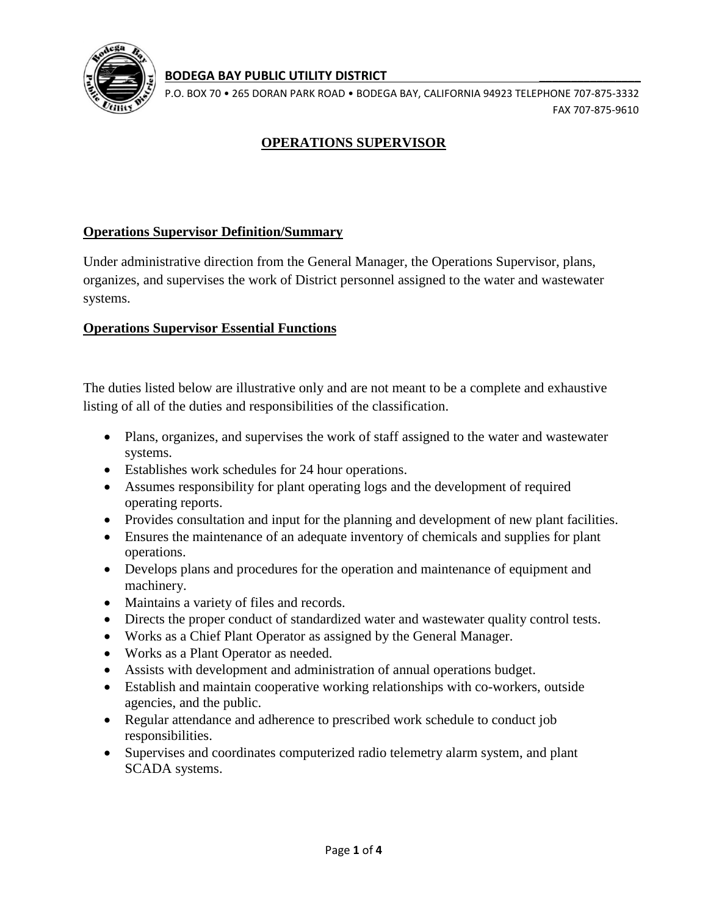

#### **BODEGA BAY PUBLIC UTILITY DISTRICT \_\_\_\_\_\_\_\_\_\_\_\_\_\_\_\_**

P.O. BOX 70 • 265 DORAN PARK ROAD • BODEGA BAY, CALIFORNIA 94923 TELEPHONE 707-875-3332 FAX 707-875-9610

# **OPERATIONS SUPERVISOR**

## **Operations Supervisor Definition/Summary**

Under administrative direction from the General Manager, the Operations Supervisor, plans, organizes, and supervises the work of District personnel assigned to the water and wastewater systems.

### **Operations Supervisor Essential Functions**

The duties listed below are illustrative only and are not meant to be a complete and exhaustive listing of all of the duties and responsibilities of the classification.

- Plans, organizes, and supervises the work of staff assigned to the water and wastewater systems.
- Establishes work schedules for 24 hour operations.
- Assumes responsibility for plant operating logs and the development of required operating reports.
- Provides consultation and input for the planning and development of new plant facilities.
- Ensures the maintenance of an adequate inventory of chemicals and supplies for plant operations.
- Develops plans and procedures for the operation and maintenance of equipment and machinery.
- Maintains a variety of files and records.
- Directs the proper conduct of standardized water and wastewater quality control tests.
- Works as a Chief Plant Operator as assigned by the General Manager.
- Works as a Plant Operator as needed.
- Assists with development and administration of annual operations budget.
- Establish and maintain cooperative working relationships with co-workers, outside agencies, and the public.
- Regular attendance and adherence to prescribed work schedule to conduct job responsibilities.
- Supervises and coordinates computerized radio telemetry alarm system, and plant SCADA systems.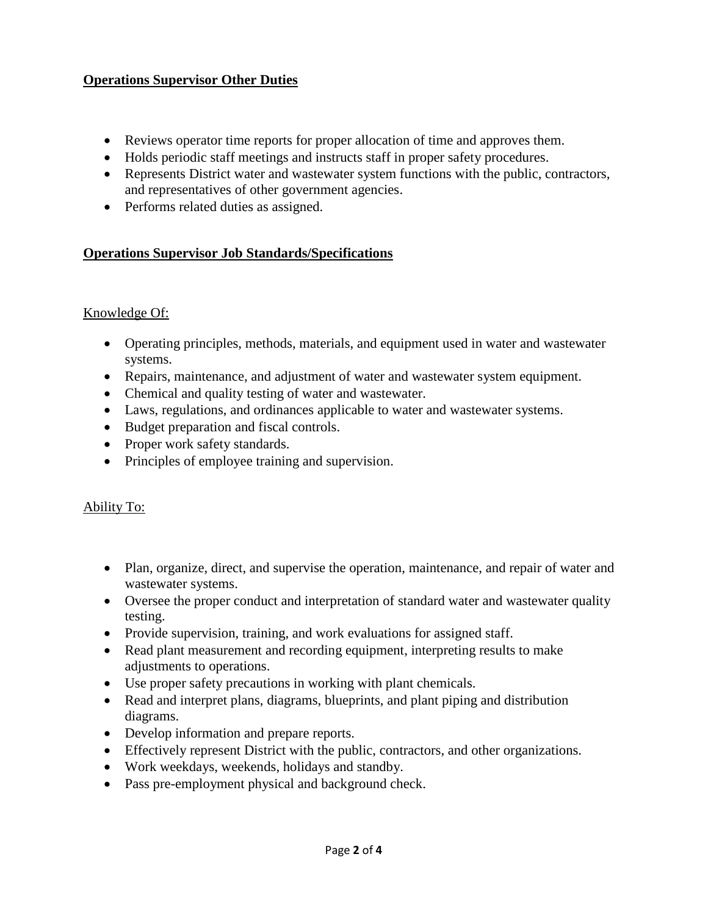## **Operations Supervisor Other Duties**

- Reviews operator time reports for proper allocation of time and approves them.
- Holds periodic staff meetings and instructs staff in proper safety procedures.
- Represents District water and wastewater system functions with the public, contractors, and representatives of other government agencies.
- Performs related duties as assigned.

## **Operations Supervisor Job Standards/Specifications**

### Knowledge Of:

- Operating principles, methods, materials, and equipment used in water and wastewater systems.
- Repairs, maintenance, and adjustment of water and wastewater system equipment.
- Chemical and quality testing of water and wastewater.
- Laws, regulations, and ordinances applicable to water and wastewater systems.
- Budget preparation and fiscal controls.
- Proper work safety standards.
- Principles of employee training and supervision.

### Ability To:

- Plan, organize, direct, and supervise the operation, maintenance, and repair of water and wastewater systems.
- Oversee the proper conduct and interpretation of standard water and wastewater quality testing.
- Provide supervision, training, and work evaluations for assigned staff.
- Read plant measurement and recording equipment, interpreting results to make adjustments to operations.
- Use proper safety precautions in working with plant chemicals.
- Read and interpret plans, diagrams, blueprints, and plant piping and distribution diagrams.
- Develop information and prepare reports.
- Effectively represent District with the public, contractors, and other organizations.
- Work weekdays, weekends, holidays and standby.
- Pass pre-employment physical and background check.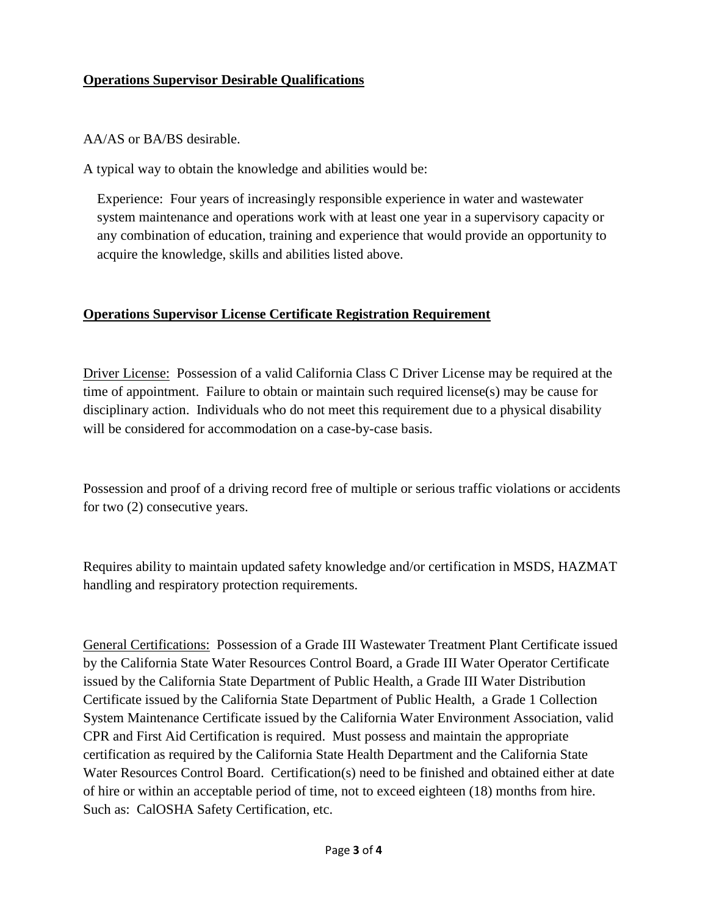### **Operations Supervisor Desirable Qualifications**

#### AA/AS or BA/BS desirable.

A typical way to obtain the knowledge and abilities would be:

Experience: Four years of increasingly responsible experience in water and wastewater system maintenance and operations work with at least one year in a supervisory capacity or any combination of education, training and experience that would provide an opportunity to acquire the knowledge, skills and abilities listed above.

## **Operations Supervisor License Certificate Registration Requirement**

Driver License: Possession of a valid California Class C Driver License may be required at the time of appointment. Failure to obtain or maintain such required license(s) may be cause for disciplinary action. Individuals who do not meet this requirement due to a physical disability will be considered for accommodation on a case-by-case basis.

Possession and proof of a driving record free of multiple or serious traffic violations or accidents for two (2) consecutive years.

Requires ability to maintain updated safety knowledge and/or certification in MSDS, HAZMAT handling and respiratory protection requirements.

General Certifications: Possession of a Grade III Wastewater Treatment Plant Certificate issued by the California State Water Resources Control Board, a Grade III Water Operator Certificate issued by the California State Department of Public Health, a Grade III Water Distribution Certificate issued by the California State Department of Public Health, a Grade 1 Collection System Maintenance Certificate issued by the California Water Environment Association, valid CPR and First Aid Certification is required. Must possess and maintain the appropriate certification as required by the California State Health Department and the California State Water Resources Control Board. Certification(s) need to be finished and obtained either at date of hire or within an acceptable period of time, not to exceed eighteen (18) months from hire. Such as: CalOSHA Safety Certification, etc.